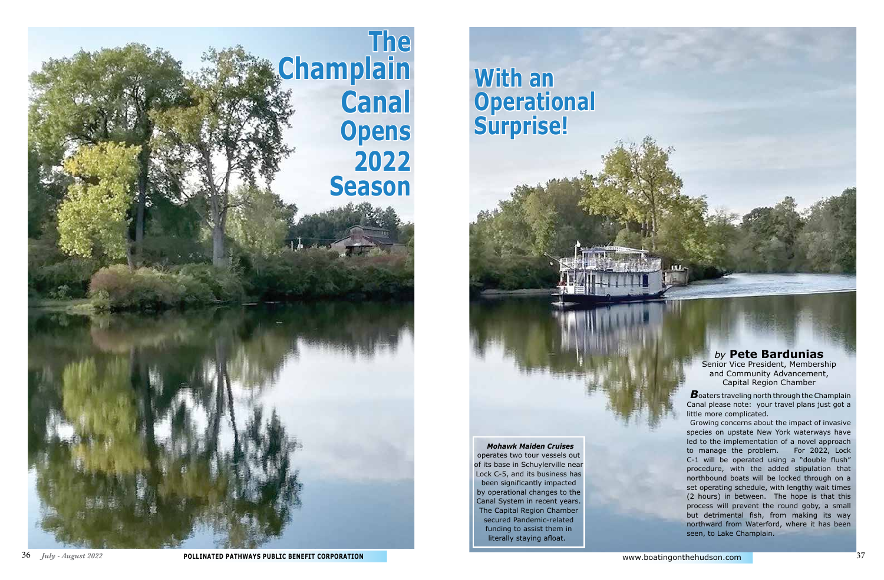Canal please note: your travel plans just got a little more complicated.



Growing concerns about the impact of invasive species on upstate New York waterways have led to the implementation of a novel approach to manage the problem. For 2022, Lock C-1 will be operated using a "double flush" procedure, with the added stipulation that northbound boats will be locked through on a set operating schedule, with lengthy wait times (2 hours) in between. The hope is that this process will prevent the round goby, a small but detrimental fish, from making its way northward from Waterford, where it has been seen, to Lake Champlain.

## *by* **Pete Bardunias**

Senior Vice President, Membership and Community Advancement, Capital Region Chamber



*Mohawk Maiden Cruises* operates two tour vessels out of its base in Schuylerville near Lock C-5, and its business has been significantly impacted by operational changes to the Canal System in recent years. The Capital Region Chamber secured Pandemic-related funding to assist them in literally staying afloat.